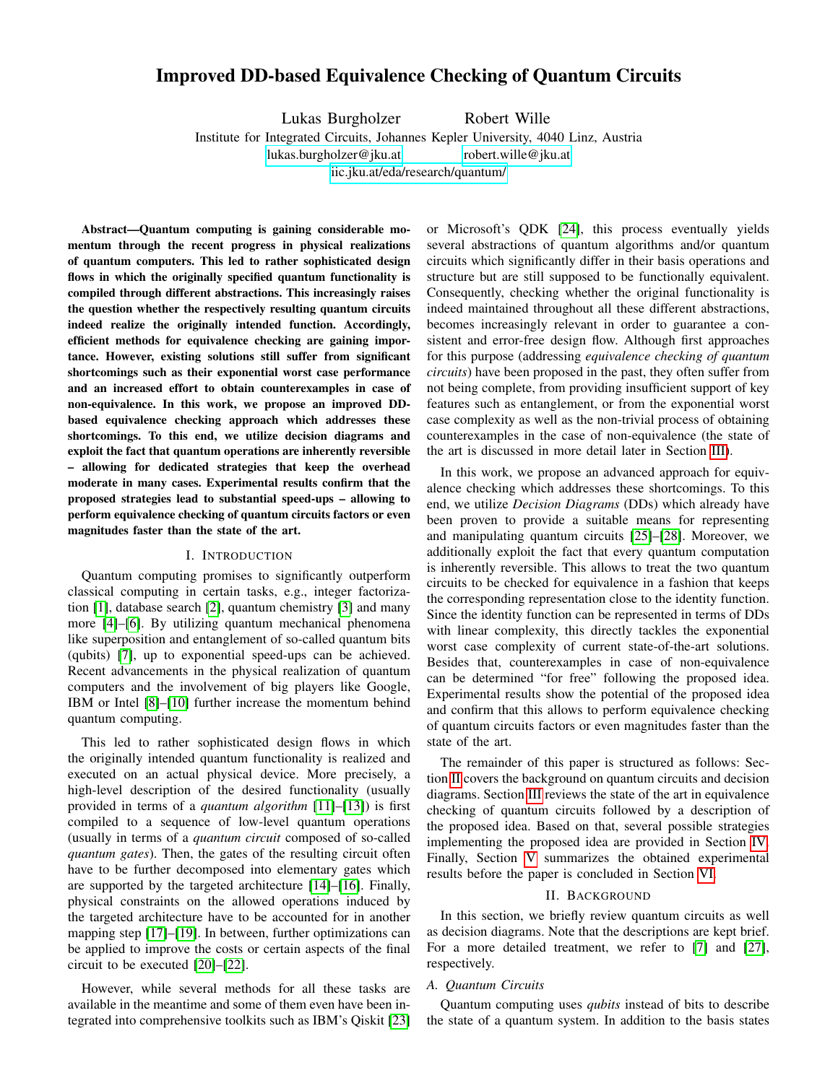# Improved DD-based Equivalence Checking of Quantum Circuits

Lukas Burgholzer Robert Wille

Institute for Integrated Circuits, Johannes Kepler University, 4040 Linz, Austria

[lukas.burgholzer@jku.at](mailto:lukas.burgholzer@jku.at) [robert.wille@jku.at](mailto:robert.wille@jku.at)

<iic.jku.at/eda/research/quantum/>

Abstract—Quantum computing is gaining considerable momentum through the recent progress in physical realizations of quantum computers. This led to rather sophisticated design flows in which the originally specified quantum functionality is compiled through different abstractions. This increasingly raises the question whether the respectively resulting quantum circuits indeed realize the originally intended function. Accordingly, efficient methods for equivalence checking are gaining importance. However, existing solutions still suffer from significant shortcomings such as their exponential worst case performance and an increased effort to obtain counterexamples in case of non-equivalence. In this work, we propose an improved DDbased equivalence checking approach which addresses these shortcomings. To this end, we utilize decision diagrams and exploit the fact that quantum operations are inherently reversible – allowing for dedicated strategies that keep the overhead moderate in many cases. Experimental results confirm that the proposed strategies lead to substantial speed-ups – allowing to perform equivalence checking of quantum circuits factors or even magnitudes faster than the state of the art.

### I. INTRODUCTION

Quantum computing promises to significantly outperform classical computing in certain tasks, e.g., integer factorization [\[1\]](#page-5-0), database search [\[2\]](#page-5-1), quantum chemistry [\[3\]](#page-5-2) and many more [\[4\]](#page-5-3)–[\[6\]](#page-5-4). By utilizing quantum mechanical phenomena like superposition and entanglement of so-called quantum bits (qubits) [\[7\]](#page-5-5), up to exponential speed-ups can be achieved. Recent advancements in the physical realization of quantum computers and the involvement of big players like Google, IBM or Intel [\[8\]](#page-5-6)–[\[10\]](#page-5-7) further increase the momentum behind quantum computing.

This led to rather sophisticated design flows in which the originally intended quantum functionality is realized and executed on an actual physical device. More precisely, a high-level description of the desired functionality (usually provided in terms of a *quantum algorithm* [\[11\]](#page-5-8)–[\[13\]](#page-5-9)) is first compiled to a sequence of low-level quantum operations (usually in terms of a *quantum circuit* composed of so-called *quantum gates*). Then, the gates of the resulting circuit often have to be further decomposed into elementary gates which are supported by the targeted architecture [\[14\]](#page-5-10)–[\[16\]](#page-5-11). Finally, physical constraints on the allowed operations induced by the targeted architecture have to be accounted for in another mapping step [\[17\]](#page-5-12)–[\[19\]](#page-5-13). In between, further optimizations can be applied to improve the costs or certain aspects of the final circuit to be executed [\[20\]](#page-5-14)–[\[22\]](#page-5-15).

However, while several methods for all these tasks are available in the meantime and some of them even have been integrated into comprehensive toolkits such as IBM's Qiskit [\[23\]](#page-5-16) or Microsoft's QDK [\[24\]](#page-5-17), this process eventually yields several abstractions of quantum algorithms and/or quantum circuits which significantly differ in their basis operations and structure but are still supposed to be functionally equivalent. Consequently, checking whether the original functionality is indeed maintained throughout all these different abstractions, becomes increasingly relevant in order to guarantee a consistent and error-free design flow. Although first approaches for this purpose (addressing *equivalence checking of quantum circuits*) have been proposed in the past, they often suffer from not being complete, from providing insufficient support of key features such as entanglement, or from the exponential worst case complexity as well as the non-trivial process of obtaining counterexamples in the case of non-equivalence (the state of the art is discussed in more detail later in Section [III\)](#page-1-0).

In this work, we propose an advanced approach for equivalence checking which addresses these shortcomings. To this end, we utilize *Decision Diagrams* (DDs) which already have been proven to provide a suitable means for representing and manipulating quantum circuits [\[25\]](#page-5-18)–[\[28\]](#page-5-19). Moreover, we additionally exploit the fact that every quantum computation is inherently reversible. This allows to treat the two quantum circuits to be checked for equivalence in a fashion that keeps the corresponding representation close to the identity function. Since the identity function can be represented in terms of DDs with linear complexity, this directly tackles the exponential worst case complexity of current state-of-the-art solutions. Besides that, counterexamples in case of non-equivalence can be determined "for free" following the proposed idea. Experimental results show the potential of the proposed idea and confirm that this allows to perform equivalence checking of quantum circuits factors or even magnitudes faster than the state of the art.

The remainder of this paper is structured as follows: Section [II](#page-0-0) covers the background on quantum circuits and decision diagrams. Section [III](#page-1-0) reviews the state of the art in equivalence checking of quantum circuits followed by a description of the proposed idea. Based on that, several possible strategies implementing the proposed idea are provided in Section [IV.](#page-3-0) Finally, Section [V](#page-4-0) summarizes the obtained experimental results before the paper is concluded in Section [VI.](#page-4-1)

### II. BACKGROUND

<span id="page-0-0"></span>In this section, we briefly review quantum circuits as well as decision diagrams. Note that the descriptions are kept brief. For a more detailed treatment, we refer to [\[7\]](#page-5-5) and [\[27\]](#page-5-20), respectively.

### *A. Quantum Circuits*

Quantum computing uses *qubits* instead of bits to describe the state of a quantum system. In addition to the basis states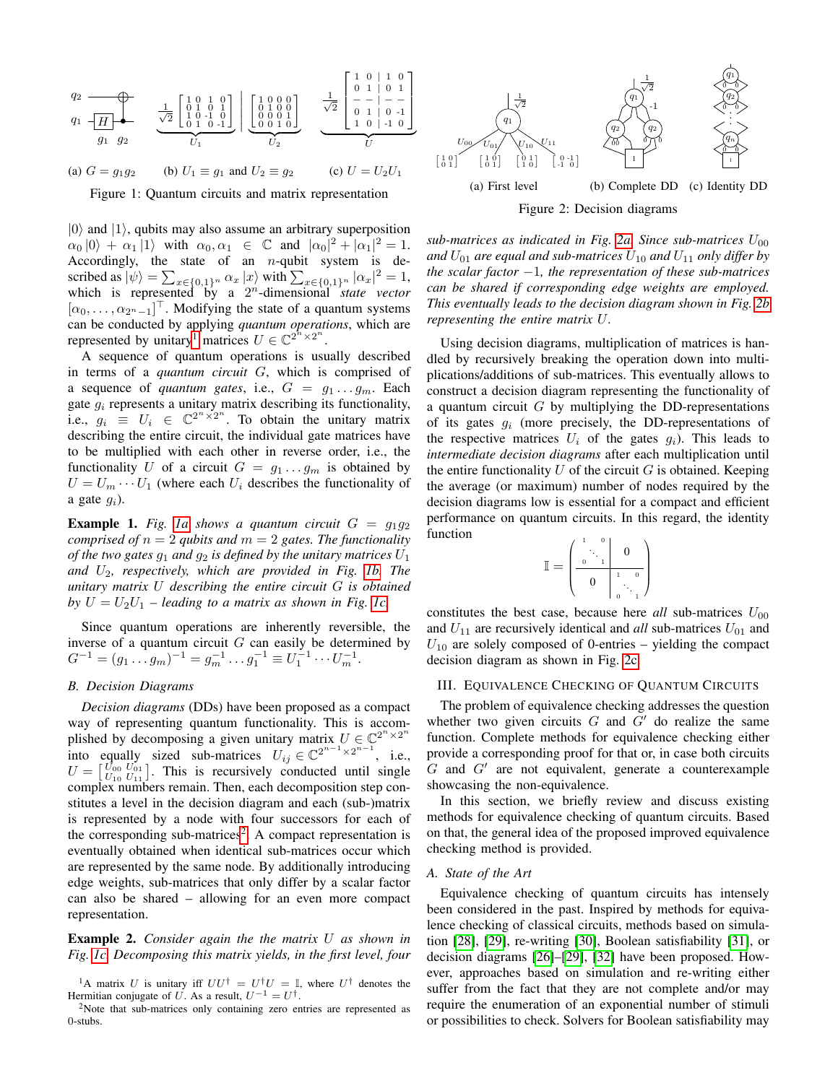<span id="page-1-2"></span>

Figure 1: Quantum circuits and matrix representation

 $|0\rangle$  and  $|1\rangle$ , qubits may also assume an arbitrary superposition  $\alpha_0 |0\rangle + \alpha_1 |1\rangle$  with  $\alpha_0, \alpha_1 \in \mathbb{C}$  and  $|\alpha_0|^2 + |\alpha_1|^2 = 1$ . Accordingly, the state of an  $n$ -qubit system is described as  $|\psi\rangle = \sum_{x \in \{0,1\}^n} \alpha_x |x\rangle$  with  $\sum_{x \in \{0,1\}^n} |\alpha_x|^2 = 1$ , which is represented by a 2 <sup>n</sup>-dimensional *state vector*  $[\alpha_0, \ldots, \alpha_{2^n-1}]^{\top}$ . Modifying the state of a quantum systems can be conducted by applying *quantum operations*, which are represented by unitary<sup>[1](#page-1-1)</sup> matrices  $U \in \mathbb{C}^{2^{n} \times 2^{n}}$ .

A sequence of quantum operations is usually described in terms of a *quantum circuit* G, which is comprised of a sequence of *quantum gates*, i.e.,  $G = g_1 \dots g_m$ . Each gate  $g_i$  represents a unitary matrix describing its functionality, i.e.,  $g_i \equiv U_i \in \mathbb{C}^{2^n \times 2^n}$ . To obtain the unitary matrix describing the entire circuit, the individual gate matrices have to be multiplied with each other in reverse order, i.e., the functionality U of a circuit  $G = g_1 \dots g_m$  is obtained by  $U = U_m \cdots U_1$  (where each  $U_i$  describes the functionality of a gate  $g_i$ ).

**Example 1.** Fig. [1a](#page-1-2) shows a quantum circuit  $G = g_1 g_2$ *comprised of*  $n = 2$  *qubits and*  $m = 2$  *gates. The functionality of the two gates*  $g_1$  *and*  $g_2$  *is defined by the unitary matrices*  $U_1$ *and* U2*, respectively, which are provided in Fig. [1b.](#page-1-2) The unitary matrix* U *describing the entire circuit* G *is obtained by*  $U = U_2U_1$  – leading to a matrix as shown in Fig. [1c.](#page-1-2)

Since quantum operations are inherently reversible, the inverse of a quantum circuit  $G$  can easily be determined by  $G^{-1} = (g_1 \dots g_m)^{-1} = g_m^{-1} \dots g_1^{-1} \equiv U_1^{-1} \cdots U_m^{-1}.$ 

## <span id="page-1-5"></span>*B. Decision Diagrams*

*Decision diagrams* (DDs) have been proposed as a compact way of representing quantum functionality. This is accomplished by decomposing a given unitary matrix  $U \in \mathbb{C}^{2^n \times 2^n}$ into equally sized sub-matrices  $U_{ij} \in \mathbb{C}^{2^{n-1} \times 2^{n-1}}$ , i.e.,  $U = \begin{bmatrix} U_{00} & U_{01} \\ U_{10} & U_{11} \end{bmatrix}$ . This is recursively conducted until single complex numbers remain. Then, each decomposition step constitutes a level in the decision diagram and each (sub-)matrix is represented by a node with four successors for each of the corresponding sub-matrices<sup>[2](#page-1-3)</sup>. A compact representation is eventually obtained when identical sub-matrices occur which are represented by the same node. By additionally introducing edge weights, sub-matrices that only differ by a scalar factor can also be shared – allowing for an even more compact representation.

Example 2. *Consider again the the matrix* U *as shown in Fig. [1c.](#page-1-2) Decomposing this matrix yields, in the first level, four*

<span id="page-1-3"></span><sup>2</sup>Note that sub-matrices only containing zero entries are represented as 0-stubs.

<span id="page-1-4"></span>

*sub-matrices as indicated in Fig. [2a.](#page-1-4) Since sub-matrices*  $U_{00}$ and  $U_{01}$  are equal and sub-matrices  $U_{10}$  and  $U_{11}$  only differ by *the scalar factor* −1*, the representation of these sub-matrices can be shared if corresponding edge weights are employed. This eventually leads to the decision diagram shown in Fig. [2b](#page-1-4) representing the entire matrix* U*.*

Using decision diagrams, multiplication of matrices is handled by recursively breaking the operation down into multiplications/additions of sub-matrices. This eventually allows to construct a decision diagram representing the functionality of a quantum circuit  $G$  by multiplying the DD-representations of its gates  $g_i$  (more precisely, the DD-representations of the respective matrices  $U_i$  of the gates  $g_i$ ). This leads to *intermediate decision diagrams* after each multiplication until the entire functionality  $U$  of the circuit  $G$  is obtained. Keeping the average (or maximum) number of nodes required by the decision diagrams low is essential for a compact and efficient performance on quantum circuits. In this regard, the identity function 1 0  $\setminus$ 

$$
\mathbb{I} = \begin{pmatrix} 1 & 0 & & \\ 0 & 1 & & \\ 0 & 1 & & \\ & & 0 & 1 \\ & & & & 1 \\ & & & & 1 \end{pmatrix}
$$

constitutes the best case, because here *all* sub-matrices  $U_{00}$ and  $U_{11}$  are recursively identical and *all* sub-matrices  $U_{01}$  and  $U_{10}$  are solely composed of 0-entries – yielding the compact decision diagram as shown in Fig. [2c.](#page-1-4)

### <span id="page-1-0"></span>III. EQUIVALENCE CHECKING OF QUANTUM CIRCUITS

The problem of equivalence checking addresses the question whether two given circuits  $G$  and  $G'$  do realize the same function. Complete methods for equivalence checking either provide a corresponding proof for that or, in case both circuits  $G$  and  $G'$  are not equivalent, generate a counterexample showcasing the non-equivalence.

In this section, we briefly review and discuss existing methods for equivalence checking of quantum circuits. Based on that, the general idea of the proposed improved equivalence checking method is provided.

### <span id="page-1-6"></span>*A. State of the Art*

Equivalence checking of quantum circuits has intensely been considered in the past. Inspired by methods for equivalence checking of classical circuits, methods based on simulation [\[28\]](#page-5-19), [\[29\]](#page-5-21), re-writing [\[30\]](#page-5-22), Boolean satisfiability [\[31\]](#page-5-23), or decision diagrams [\[26\]](#page-5-24)–[\[29\]](#page-5-21), [\[32\]](#page-5-25) have been proposed. However, approaches based on simulation and re-writing either suffer from the fact that they are not complete and/or may require the enumeration of an exponential number of stimuli or possibilities to check. Solvers for Boolean satisfiability may

<span id="page-1-1"></span><sup>&</sup>lt;sup>1</sup>A matrix U is unitary iff  $UU^{\dagger} = U^{\dagger}U = \mathbb{I}$ , where  $U^{\dagger}$  denotes the Hermitian conjugate of U. As a result,  $U^{-1} = U^{\dagger}$ .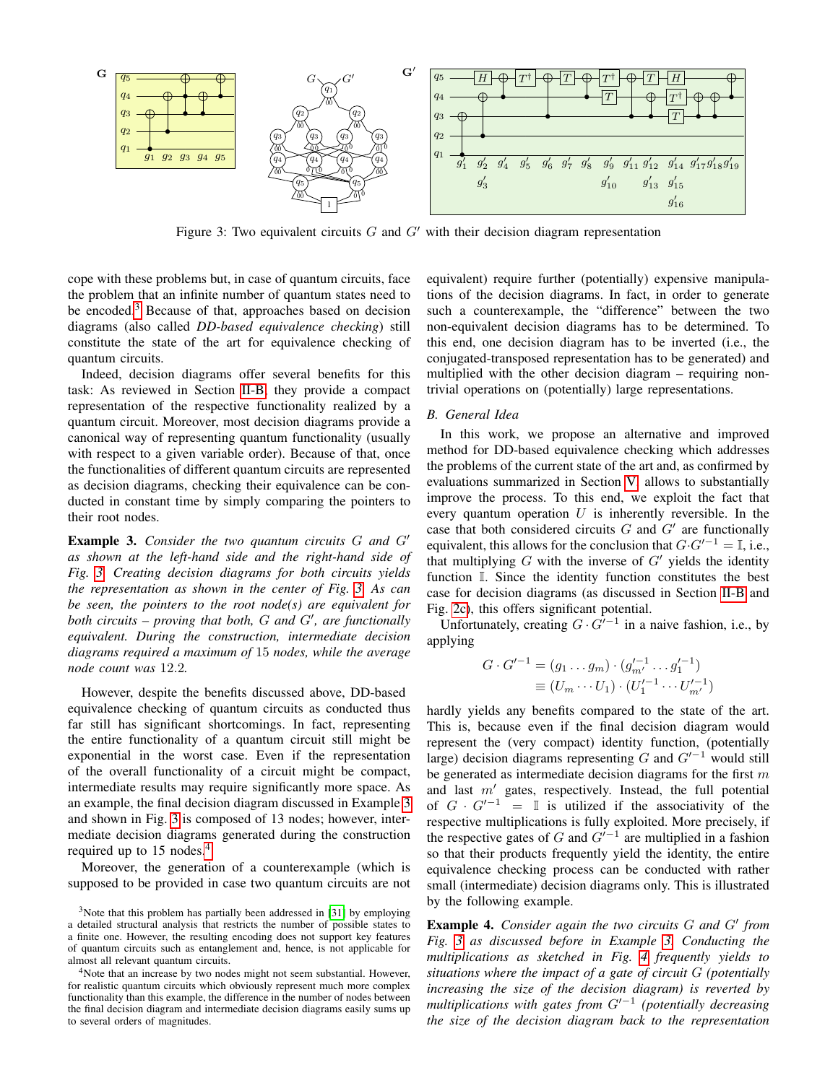<span id="page-2-1"></span>

Figure 3: Two equivalent circuits  $G$  and  $G'$  with their decision diagram representation

cope with these problems but, in case of quantum circuits, face the problem that an infinite number of quantum states need to be encoded.<sup>[3](#page-2-0)</sup> Because of that, approaches based on decision diagrams (also called *DD-based equivalence checking*) still constitute the state of the art for equivalence checking of quantum circuits.

Indeed, decision diagrams offer several benefits for this task: As reviewed in Section [II-B,](#page-1-5) they provide a compact representation of the respective functionality realized by a quantum circuit. Moreover, most decision diagrams provide a canonical way of representing quantum functionality (usually with respect to a given variable order). Because of that, once the functionalities of different quantum circuits are represented as decision diagrams, checking their equivalence can be conducted in constant time by simply comparing the pointers to their root nodes.

<span id="page-2-2"></span>**Example 3.** Consider the two quantum circuits G and G' *as shown at the left-hand side and the right-hand side of Fig. [3.](#page-2-1) Creating decision diagrams for both circuits yields the representation as shown in the center of Fig. [3.](#page-2-1) As can be seen, the pointers to the root node(s) are equivalent for* both circuits – proving that both, G and G', are functionally *equivalent. During the construction, intermediate decision diagrams required a maximum of* 15 *nodes, while the average node count was* 12.2*.*

However, despite the benefits discussed above, DD-based equivalence checking of quantum circuits as conducted thus far still has significant shortcomings. In fact, representing the entire functionality of a quantum circuit still might be exponential in the worst case. Even if the representation of the overall functionality of a circuit might be compact, intermediate results may require significantly more space. As an example, the final decision diagram discussed in Example [3](#page-2-2) and shown in Fig. [3](#page-2-1) is composed of 13 nodes; however, intermediate decision diagrams generated during the construction required up to 15 nodes.<sup>[4](#page-2-3)</sup>

Moreover, the generation of a counterexample (which is supposed to be provided in case two quantum circuits are not

<span id="page-2-0"></span><sup>3</sup>Note that this problem has partially been addressed in [\[31\]](#page-5-23) by employing a detailed structural analysis that restricts the number of possible states to a finite one. However, the resulting encoding does not support key features of quantum circuits such as entanglement and, hence, is not applicable for almost all relevant quantum circuits.

<span id="page-2-3"></span><sup>4</sup>Note that an increase by two nodes might not seem substantial. However, for realistic quantum circuits which obviously represent much more complex functionality than this example, the difference in the number of nodes between the final decision diagram and intermediate decision diagrams easily sums up to several orders of magnitudes.

equivalent) require further (potentially) expensive manipulations of the decision diagrams. In fact, in order to generate such a counterexample, the "difference" between the two non-equivalent decision diagrams has to be determined. To this end, one decision diagram has to be inverted (i.e., the conjugated-transposed representation has to be generated) and multiplied with the other decision diagram – requiring nontrivial operations on (potentially) large representations.

### *B. General Idea*

In this work, we propose an alternative and improved method for DD-based equivalence checking which addresses the problems of the current state of the art and, as confirmed by evaluations summarized in Section [V,](#page-4-0) allows to substantially improve the process. To this end, we exploit the fact that every quantum operation  $U$  is inherently reversible. In the case that both considered circuits  $G$  and  $G'$  are functionally equivalent, this allows for the conclusion that  $G \cdot G'^{-1} = \mathbb{I}$ , i.e., that multiplying  $G$  with the inverse of  $G'$  yields the identity function I. Since the identity function constitutes the best case for decision diagrams (as discussed in Section [II-B](#page-1-5) and Fig. [2c\)](#page-1-4), this offers significant potential.

Unfortunately, creating  $G \cdot G'^{-1}$  in a naive fashion, i.e., by applying

$$
G \cdot G'^{-1} = (g_1 \dots g_m) \cdot (g'^{-1}_{m'} \dots g'^{-1}_1)
$$
  

$$
\equiv (U_m \cdots U_1) \cdot (U'^{-1}_1 \cdots U'^{-1}_{m'})
$$

hardly yields any benefits compared to the state of the art. This is, because even if the final decision diagram would represent the (very compact) identity function, (potentially large) decision diagrams representing G and  $G<sup>1-1</sup>$  would still be generated as intermediate decision diagrams for the first  $m$ and last  $m'$  gates, respectively. Instead, the full potential of  $G \cdot G'^{-1} = \mathbb{I}$  is utilized if the associativity of the respective multiplications is fully exploited. More precisely, if the respective gates of G and  $G'^{-1}$  are multiplied in a fashion so that their products frequently yield the identity, the entire equivalence checking process can be conducted with rather small (intermediate) decision diagrams only. This is illustrated by the following example.

<span id="page-2-4"></span>Example 4. Consider again the two circuits G and G' from *Fig. [3](#page-2-1) as discussed before in Example [3.](#page-2-2) Conducting the multiplications as sketched in Fig. [4](#page-3-1) frequently yields to situations where the impact of a gate of circuit* G *(potentially increasing the size of the decision diagram) is reverted by multiplications with gates from G'*<sup>-1</sup> (potentially decreasing *the size of the decision diagram back to the representation*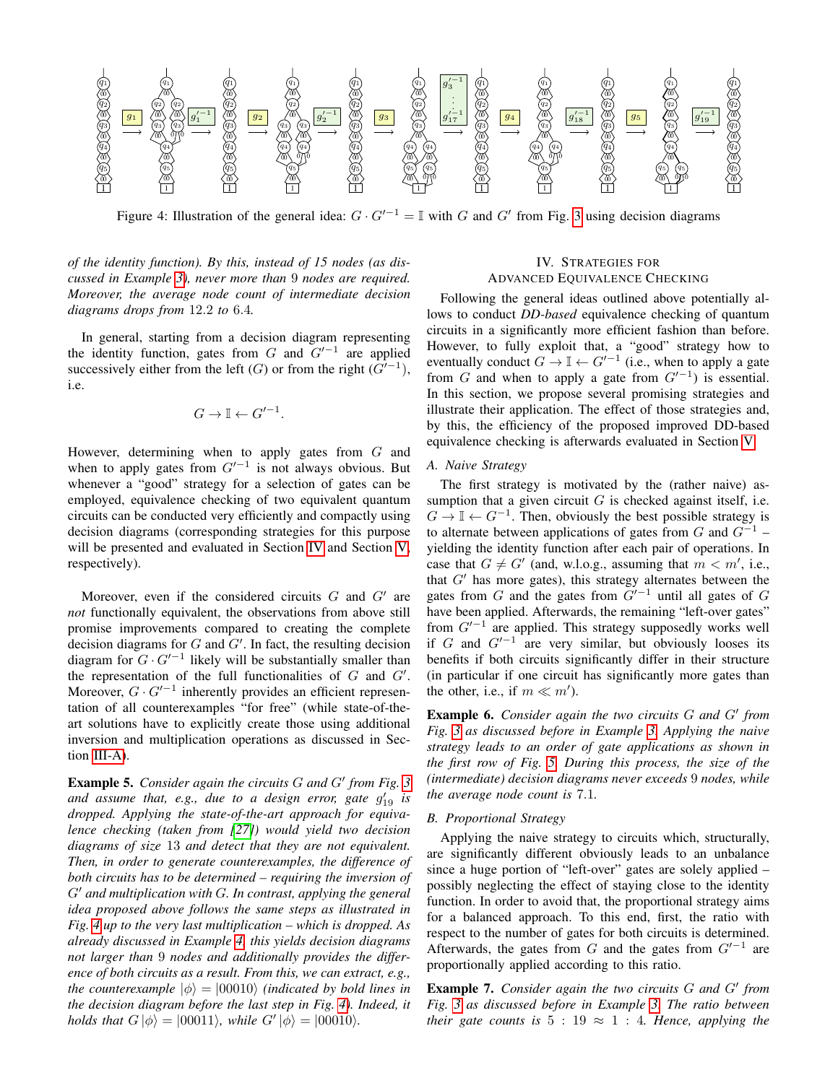<span id="page-3-1"></span>

Figure 4: Illustration of the general idea:  $G \cdot G'^{-1} = \mathbb{I}$  with G and G' from Fig. [3](#page-2-1) using decision diagrams

*of the identity function). By this, instead of 15 nodes (as discussed in Example [3\)](#page-2-2), never more than* 9 *nodes are required. Moreover, the average node count of intermediate decision diagrams drops from* 12.2 *to* 6.4*.*

In general, starting from a decision diagram representing the identity function, gates from  $G$  and  $G'^{-1}$  are applied successively either from the left  $(G)$  or from the right  $(G'^{-1})$ , i.e.

$$
G \to \mathbb{I} \leftarrow G'^{-1}.
$$

However, determining when to apply gates from  $G$  and when to apply gates from  $G'^{-1}$  is not always obvious. But whenever a "good" strategy for a selection of gates can be employed, equivalence checking of two equivalent quantum circuits can be conducted very efficiently and compactly using decision diagrams (corresponding strategies for this purpose will be presented and evaluated in Section [IV](#page-3-0) and Section [V,](#page-4-0) respectively).

Moreover, even if the considered circuits  $G$  and  $G'$  are *not* functionally equivalent, the observations from above still promise improvements compared to creating the complete decision diagrams for  $G$  and  $G'$ . In fact, the resulting decision diagram for  $G \cdot G'^{-1}$  likely will be substantially smaller than the representation of the full functionalities of  $G$  and  $G'$ . Moreover,  $G \cdot G'^{-1}$  inherently provides an efficient representation of all counterexamples "for free" (while state-of-theart solutions have to explicitly create those using additional inversion and multiplication operations as discussed in Section [III-A\)](#page-1-6).

**Example 5.** Consider again the circuits G and G' from Fig. [3](#page-2-1) and assume that, e.g., due to a design error, gate  $g'_{19}$  is *dropped. Applying the state-of-the-art approach for equivalence checking (taken from [\[27\]](#page-5-20)) would yield two decision diagrams of size* 13 *and detect that they are not equivalent. Then, in order to generate counterexamples, the difference of both circuits has to be determined – requiring the inversion of*  $G'$  and multiplication with G. In contrast, applying the general *idea proposed above follows the same steps as illustrated in Fig. [4](#page-3-1) up to the very last multiplication – which is dropped. As already discussed in Example [4,](#page-2-4) this yields decision diagrams not larger than* 9 *nodes and additionally provides the difference of both circuits as a result. From this, we can extract, e.g., the counterexample*  $|\phi\rangle = |00010\rangle$  *(indicated by bold lines in*) *the decision diagram before the last step in Fig. [4\)](#page-3-1). Indeed, it holds that*  $G |\phi\rangle = |00011\rangle$ *, while*  $G' |\phi\rangle = |00010\rangle$ *.* 

## IV. STRATEGIES FOR ADVANCED EQUIVALENCE CHECKING

<span id="page-3-0"></span>Following the general ideas outlined above potentially allows to conduct *DD-based* equivalence checking of quantum circuits in a significantly more efficient fashion than before. However, to fully exploit that, a "good" strategy how to eventually conduct  $G \to \mathbb{I} \leftarrow G'^{-1}$  (i.e., when to apply a gate from G and when to apply a gate from  $G'^{-1}$ ) is essential. In this section, we propose several promising strategies and illustrate their application. The effect of those strategies and, by this, the efficiency of the proposed improved DD-based equivalence checking is afterwards evaluated in Section [V.](#page-4-0)

### <span id="page-3-2"></span>*A. Naive Strategy*

The first strategy is motivated by the (rather naive) assumption that a given circuit  $G$  is checked against itself, i.e.  $G \to \mathbb{I} \leftarrow G^{-1}$ . Then, obviously the best possible strategy is to alternate between applications of gates from  $G$  and  $G^{-1}$  – yielding the identity function after each pair of operations. In case that  $G \neq G'$  (and, w.l.o.g., assuming that  $m < m'$ , i.e., that  $G'$  has more gates), this strategy alternates between the gates from G and the gates from  $G'^{-1}$  until all gates of G have been applied. Afterwards, the remaining "left-over gates" from  $G'^{-1}$  are applied. This strategy supposedly works well if G and  $G'^{-1}$  are very similar, but obviously looses its benefits if both circuits significantly differ in their structure (in particular if one circuit has significantly more gates than the other, i.e., if  $m \ll m'$ ).

Example 6. Consider again the two circuits G and G' from *Fig. [3](#page-2-1) as discussed before in Example [3.](#page-2-2) Applying the naive strategy leads to an order of gate applications as shown in the first row of Fig. [5.](#page-4-2) During this process, the size of the (intermediate) decision diagrams never exceeds* 9 *nodes, while the average node count is* 7.1*.*

### <span id="page-3-3"></span>*B. Proportional Strategy*

Applying the naive strategy to circuits which, structurally, are significantly different obviously leads to an unbalance since a huge portion of "left-over" gates are solely applied – possibly neglecting the effect of staying close to the identity function. In order to avoid that, the proportional strategy aims for a balanced approach. To this end, first, the ratio with respect to the number of gates for both circuits is determined. Afterwards, the gates from G and the gates from  $G'^{-1}$  are proportionally applied according to this ratio.

**Example 7.** Consider again the two circuits G and G' from *Fig. [3](#page-2-1) as discussed before in Example [3.](#page-2-2) The ratio between their gate counts is*  $5 : 19 \approx 1 : 4$ *. Hence, applying the*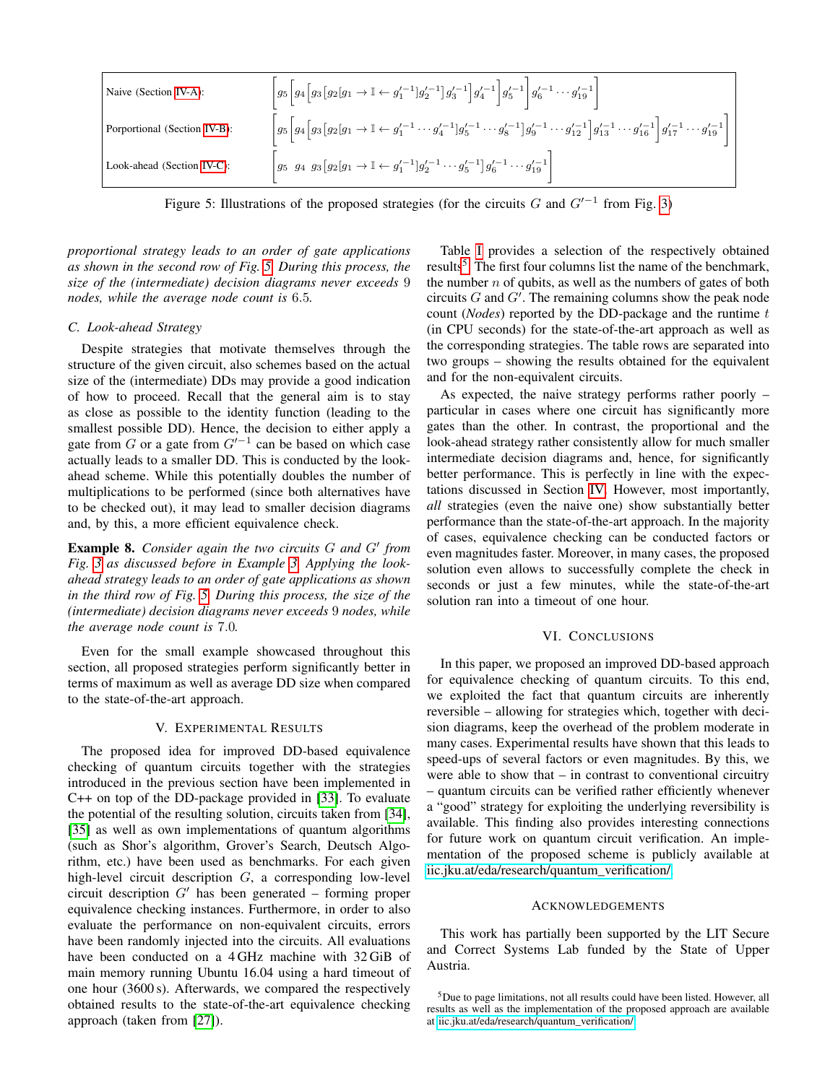<span id="page-4-2"></span>

| Naive (Section IV-A):        | $\Bigg g_5\bigg[g_4\Big[g_3\big[g_2[g_1 \rightarrow \mathbb{I} \leftarrow g_1^{\prime -1}\big]g_2^{\prime -1}\big]g_3^{\prime -1}\bigg]g_4^{\prime -1}\bigg]g_5^{\prime -1}\Bigg g_6^{\prime -1} \cdots g_{19}^{\prime -1}\bigg]$                                                                                                       |
|------------------------------|-----------------------------------------------------------------------------------------------------------------------------------------------------------------------------------------------------------------------------------------------------------------------------------------------------------------------------------------|
| Porportional (Section IV-B): | $\left g_5\left[g_4\left[g_3\left[g_2\left[g_1\rightarrow \mathbb{I}\leftarrow g_1^{\prime -1}\cdots g_4^{\prime -1}\right]g_5^{\prime -1}\cdots g_8^{\prime -1}\right]g_9^{\prime -1}\cdots g_{12}^{\prime -1}\right]g_{13}^{\prime -1}\cdots g_{16}^{\prime -1}\right]\right q_{17}^{\prime -1}\cdots q_{19}^{\prime -1}\right \Big $ |
| Look-ahead (Section IV-C):   | $\left  g_5 g_4 g_3 [g_2] g_1 \rightarrow \mathbb{I} \leftarrow g_1'^{-1} g_2'^{-1} \cdots g_5'^{-1} g_6'^{-1} \cdots g_{19}'^{-1} \right $                                                                                                                                                                                             |

Figure 5: Illustrations of the proposed strategies (for the circuits G and  $G'^{-1}$  from Fig. [3\)](#page-2-1)

*proportional strategy leads to an order of gate applications as shown in the second row of Fig. [5.](#page-4-2) During this process, the size of the (intermediate) decision diagrams never exceeds* 9 *nodes, while the average node count is* 6.5*.*

### <span id="page-4-3"></span>*C. Look-ahead Strategy*

Despite strategies that motivate themselves through the structure of the given circuit, also schemes based on the actual size of the (intermediate) DDs may provide a good indication of how to proceed. Recall that the general aim is to stay as close as possible to the identity function (leading to the smallest possible DD). Hence, the decision to either apply a gate from G or a gate from  $G'^{-1}$  can be based on which case actually leads to a smaller DD. This is conducted by the lookahead scheme. While this potentially doubles the number of multiplications to be performed (since both alternatives have to be checked out), it may lead to smaller decision diagrams and, by this, a more efficient equivalence check.

Example 8. Consider again the two circuits G and G' from *Fig. [3](#page-2-1) as discussed before in Example [3.](#page-2-2) Applying the lookahead strategy leads to an order of gate applications as shown in the third row of Fig. [5.](#page-4-2) During this process, the size of the (intermediate) decision diagrams never exceeds* 9 *nodes, while the average node count is* 7.0*.*

Even for the small example showcased throughout this section, all proposed strategies perform significantly better in terms of maximum as well as average DD size when compared to the state-of-the-art approach.

### V. EXPERIMENTAL RESULTS

<span id="page-4-0"></span>The proposed idea for improved DD-based equivalence checking of quantum circuits together with the strategies introduced in the previous section have been implemented in C++ on top of the DD-package provided in [\[33\]](#page-5-26). To evaluate the potential of the resulting solution, circuits taken from [\[34\]](#page-5-27), [\[35\]](#page-5-28) as well as own implementations of quantum algorithms (such as Shor's algorithm, Grover's Search, Deutsch Algorithm, etc.) have been used as benchmarks. For each given high-level circuit description G, a corresponding low-level circuit description  $G'$  has been generated – forming proper equivalence checking instances. Furthermore, in order to also evaluate the performance on non-equivalent circuits, errors have been randomly injected into the circuits. All evaluations have been conducted on a 4 GHz machine with 32 GiB of main memory running Ubuntu 16.04 using a hard timeout of one hour (3600 s). Afterwards, we compared the respectively obtained results to the state-of-the-art equivalence checking approach (taken from [\[27\]](#page-5-20)).

Table [I](#page-5-29) provides a selection of the respectively obtained results<sup>[5](#page-4-4)</sup>. The first four columns list the name of the benchmark, the number  $n$  of qubits, as well as the numbers of gates of both circuits  $G$  and  $G'$ . The remaining columns show the peak node count (*Nodes*) reported by the DD-package and the runtime t (in CPU seconds) for the state-of-the-art approach as well as the corresponding strategies. The table rows are separated into two groups – showing the results obtained for the equivalent and for the non-equivalent circuits.

As expected, the naive strategy performs rather poorly – particular in cases where one circuit has significantly more gates than the other. In contrast, the proportional and the look-ahead strategy rather consistently allow for much smaller intermediate decision diagrams and, hence, for significantly better performance. This is perfectly in line with the expectations discussed in Section [IV.](#page-3-0) However, most importantly, *all* strategies (even the naive one) show substantially better performance than the state-of-the-art approach. In the majority of cases, equivalence checking can be conducted factors or even magnitudes faster. Moreover, in many cases, the proposed solution even allows to successfully complete the check in seconds or just a few minutes, while the state-of-the-art solution ran into a timeout of one hour.

#### VI. CONCLUSIONS

<span id="page-4-1"></span>In this paper, we proposed an improved DD-based approach for equivalence checking of quantum circuits. To this end, we exploited the fact that quantum circuits are inherently reversible – allowing for strategies which, together with decision diagrams, keep the overhead of the problem moderate in many cases. Experimental results have shown that this leads to speed-ups of several factors or even magnitudes. By this, we were able to show that  $-$  in contrast to conventional circuitry – quantum circuits can be verified rather efficiently whenever a "good" strategy for exploiting the underlying reversibility is available. This finding also provides interesting connections for future work on quantum circuit verification. An implementation of the proposed scheme is publicly available at [iic.jku.at/eda/research/quantum\\_verification/.](iic.jku.at/eda/research/quantum_verification/)

#### ACKNOWLEDGEMENTS

This work has partially been supported by the LIT Secure and Correct Systems Lab funded by the State of Upper Austria.

<span id="page-4-4"></span><sup>5</sup>Due to page limitations, not all results could have been listed. However, all results as well as the implementation of the proposed approach are available at [iic.jku.at/eda/research/quantum\\_verification/.](iic.jku.at/eda/research/quantum_verification/)